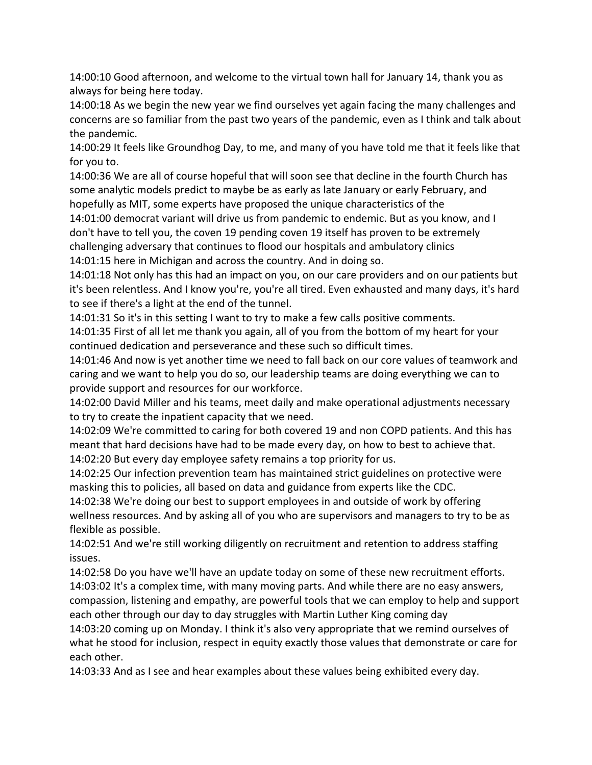14:00:10 Good afternoon, and welcome to the virtual town hall for January 14, thank you as always for being here today.

14:00:18 As we begin the new year we find ourselves yet again facing the many challenges and concerns are so familiar from the past two years of the pandemic, even as I think and talk about the pandemic.

14:00:29 It feels like Groundhog Day, to me, and many of you have told me that it feels like that for you to.

14:00:36 We are all of course hopeful that will soon see that decline in the fourth Church has some analytic models predict to maybe be as early as late January or early February, and hopefully as MIT, some experts have proposed the unique characteristics of the

14:01:00 democrat variant will drive us from pandemic to endemic. But as you know, and I don't have to tell you, the coven 19 pending coven 19 itself has proven to be extremely challenging adversary that continues to flood our hospitals and ambulatory clinics

14:01:15 here in Michigan and across the country. And in doing so.

14:01:18 Not only has this had an impact on you, on our care providers and on our patients but it's been relentless. And I know you're, you're all tired. Even exhausted and many days, it's hard to see if there's a light at the end of the tunnel.

14:01:31 So it's in this setting I want to try to make a few calls positive comments.

14:01:35 First of all let me thank you again, all of you from the bottom of my heart for your continued dedication and perseverance and these such so difficult times.

14:01:46 And now is yet another time we need to fall back on our core values of teamwork and caring and we want to help you do so, our leadership teams are doing everything we can to provide support and resources for our workforce.

14:02:00 David Miller and his teams, meet daily and make operational adjustments necessary to try to create the inpatient capacity that we need.

14:02:09 We're committed to caring for both covered 19 and non COPD patients. And this has meant that hard decisions have had to be made every day, on how to best to achieve that. 14:02:20 But every day employee safety remains a top priority for us.

14:02:25 Our infection prevention team has maintained strict guidelines on protective were masking this to policies, all based on data and guidance from experts like the CDC.

14:02:38 We're doing our best to support employees in and outside of work by offering wellness resources. And by asking all of you who are supervisors and managers to try to be as flexible as possible.

14:02:51 And we're still working diligently on recruitment and retention to address staffing issues.

14:02:58 Do you have we'll have an update today on some of these new recruitment efforts. 14:03:02 It's a complex time, with many moving parts. And while there are no easy answers, compassion, listening and empathy, are powerful tools that we can employ to help and support each other through our day to day struggles with Martin Luther King coming day

14:03:20 coming up on Monday. I think it's also very appropriate that we remind ourselves of what he stood for inclusion, respect in equity exactly those values that demonstrate or care for each other.

14:03:33 And as I see and hear examples about these values being exhibited every day.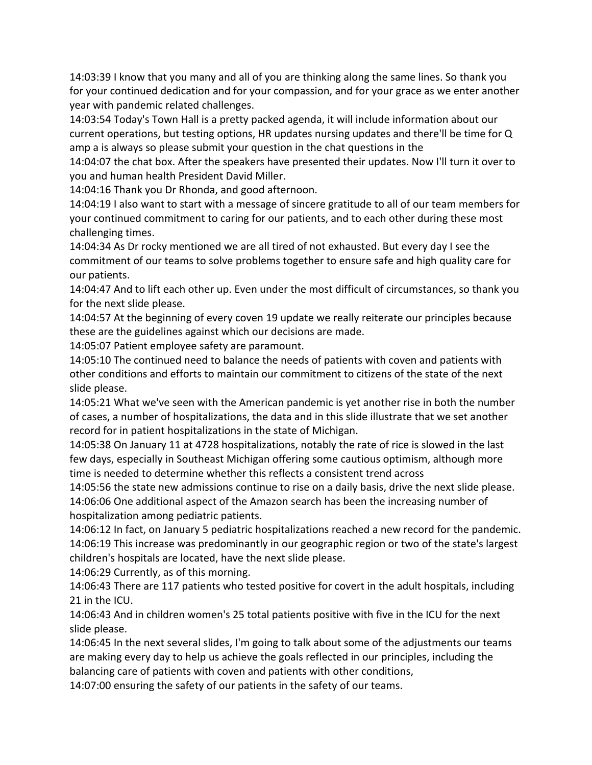14:03:39 I know that you many and all of you are thinking along the same lines. So thank you for your continued dedication and for your compassion, and for your grace as we enter another year with pandemic related challenges.

14:03:54 Today's Town Hall is a pretty packed agenda, it will include information about our current operations, but testing options, HR updates nursing updates and there'll be time for Q amp a is always so please submit your question in the chat questions in the

14:04:07 the chat box. After the speakers have presented their updates. Now I'll turn it over to you and human health President David Miller.

14:04:16 Thank you Dr Rhonda, and good afternoon.

14:04:19 I also want to start with a message of sincere gratitude to all of our team members for your continued commitment to caring for our patients, and to each other during these most challenging times.

14:04:34 As Dr rocky mentioned we are all tired of not exhausted. But every day I see the commitment of our teams to solve problems together to ensure safe and high quality care for our patients.

14:04:47 And to lift each other up. Even under the most difficult of circumstances, so thank you for the next slide please.

14:04:57 At the beginning of every coven 19 update we really reiterate our principles because these are the guidelines against which our decisions are made.

14:05:07 Patient employee safety are paramount.

14:05:10 The continued need to balance the needs of patients with coven and patients with other conditions and efforts to maintain our commitment to citizens of the state of the next slide please.

14:05:21 What we've seen with the American pandemic is yet another rise in both the number of cases, a number of hospitalizations, the data and in this slide illustrate that we set another record for in patient hospitalizations in the state of Michigan.

14:05:38 On January 11 at 4728 hospitalizations, notably the rate of rice is slowed in the last few days, especially in Southeast Michigan offering some cautious optimism, although more time is needed to determine whether this reflects a consistent trend across

14:05:56 the state new admissions continue to rise on a daily basis, drive the next slide please. 14:06:06 One additional aspect of the Amazon search has been the increasing number of hospitalization among pediatric patients.

14:06:12 In fact, on January 5 pediatric hospitalizations reached a new record for the pandemic. 14:06:19 This increase was predominantly in our geographic region or two of the state's largest children's hospitals are located, have the next slide please.

14:06:29 Currently, as of this morning.

14:06:43 There are 117 patients who tested positive for covert in the adult hospitals, including 21 in the ICU.

14:06:43 And in children women's 25 total patients positive with five in the ICU for the next slide please.

14:06:45 In the next several slides, I'm going to talk about some of the adjustments our teams are making every day to help us achieve the goals reflected in our principles, including the balancing care of patients with coven and patients with other conditions,

14:07:00 ensuring the safety of our patients in the safety of our teams.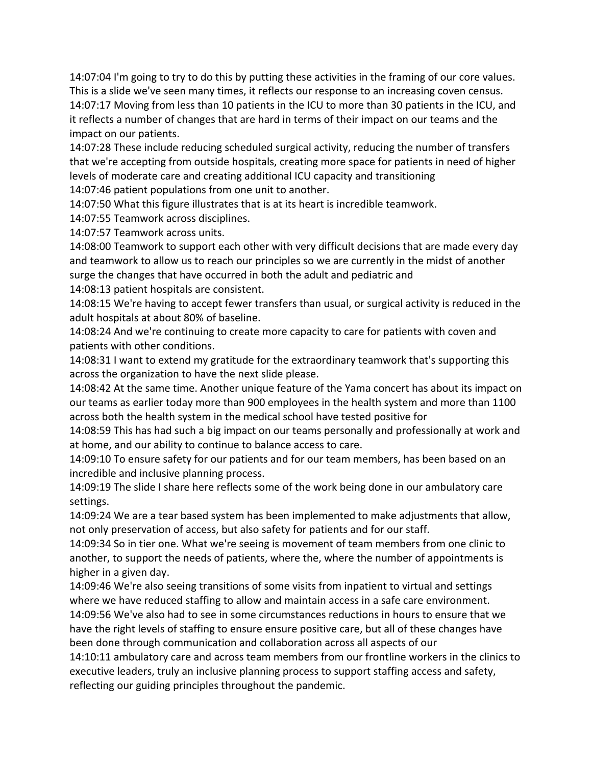14:07:04 I'm going to try to do this by putting these activities in the framing of our core values. This is a slide we've seen many times, it reflects our response to an increasing coven census. 14:07:17 Moving from less than 10 patients in the ICU to more than 30 patients in the ICU, and it reflects a number of changes that are hard in terms of their impact on our teams and the impact on our patients.

14:07:28 These include reducing scheduled surgical activity, reducing the number of transfers that we're accepting from outside hospitals, creating more space for patients in need of higher levels of moderate care and creating additional ICU capacity and transitioning

14:07:46 patient populations from one unit to another.

14:07:50 What this figure illustrates that is at its heart is incredible teamwork.

14:07:55 Teamwork across disciplines.

14:07:57 Teamwork across units.

14:08:00 Teamwork to support each other with very difficult decisions that are made every day and teamwork to allow us to reach our principles so we are currently in the midst of another surge the changes that have occurred in both the adult and pediatric and

14:08:13 patient hospitals are consistent.

14:08:15 We're having to accept fewer transfers than usual, or surgical activity is reduced in the adult hospitals at about 80% of baseline.

14:08:24 And we're continuing to create more capacity to care for patients with coven and patients with other conditions.

14:08:31 I want to extend my gratitude for the extraordinary teamwork that's supporting this across the organization to have the next slide please.

14:08:42 At the same time. Another unique feature of the Yama concert has about its impact on our teams as earlier today more than 900 employees in the health system and more than 1100 across both the health system in the medical school have tested positive for

14:08:59 This has had such a big impact on our teams personally and professionally at work and at home, and our ability to continue to balance access to care.

14:09:10 To ensure safety for our patients and for our team members, has been based on an incredible and inclusive planning process.

14:09:19 The slide I share here reflects some of the work being done in our ambulatory care settings.

14:09:24 We are a tear based system has been implemented to make adjustments that allow, not only preservation of access, but also safety for patients and for our staff.

14:09:34 So in tier one. What we're seeing is movement of team members from one clinic to another, to support the needs of patients, where the, where the number of appointments is higher in a given day.

14:09:46 We're also seeing transitions of some visits from inpatient to virtual and settings where we have reduced staffing to allow and maintain access in a safe care environment. 14:09:56 We've also had to see in some circumstances reductions in hours to ensure that we have the right levels of staffing to ensure ensure positive care, but all of these changes have been done through communication and collaboration across all aspects of our

14:10:11 ambulatory care and across team members from our frontline workers in the clinics to executive leaders, truly an inclusive planning process to support staffing access and safety, reflecting our guiding principles throughout the pandemic.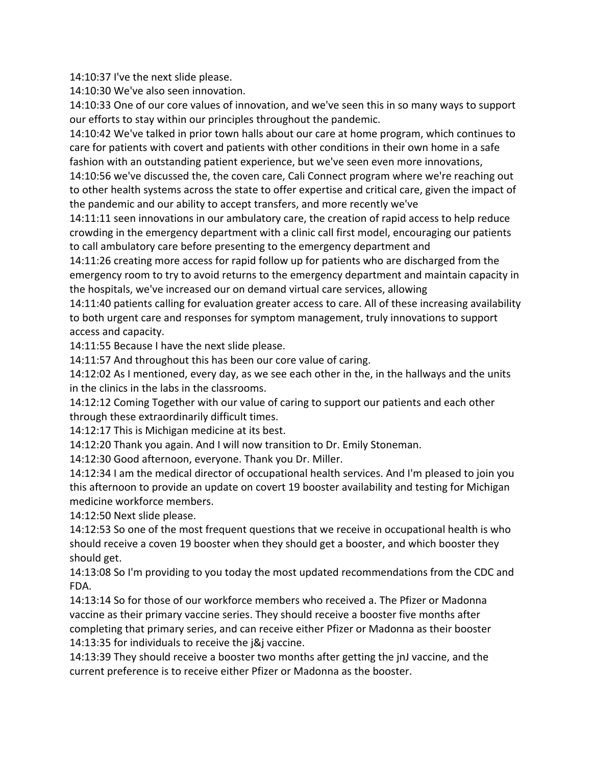14:10:37 I've the next slide please.

14:10:30 We've also seen innovation.

14:10:33 One of our core values of innovation, and we've seen this in so many ways to support our efforts to stay within our principles throughout the pandemic.

14:10:42 We've talked in prior town halls about our care at home program, which continues to care for patients with covert and patients with other conditions in their own home in a safe fashion with an outstanding patient experience, but we've seen even more innovations,

14:10:56 we've discussed the, the coven care, Cali Connect program where we're reaching out to other health systems across the state to offer expertise and critical care, given the impact of the pandemic and our ability to accept transfers, and more recently we've

14:11:11 seen innovations in our ambulatory care, the creation of rapid access to help reduce crowding in the emergency department with a clinic call first model, encouraging our patients to call ambulatory care before presenting to the emergency department and

14:11:26 creating more access for rapid follow up for patients who are discharged from the emergency room to try to avoid returns to the emergency department and maintain capacity in the hospitals, we've increased our on demand virtual care services, allowing

14:11:40 patients calling for evaluation greater access to care. All of these increasing availability to both urgent care and responses for symptom management, truly innovations to support access and capacity.

14:11:55 Because I have the next slide please.

14:11:57 And throughout this has been our core value of caring.

14:12:02 As I mentioned, every day, as we see each other in the, in the hallways and the units in the clinics in the labs in the classrooms.

14:12:12 Coming Together with our value of caring to support our patients and each other through these extraordinarily difficult times.

14:12:17 This is Michigan medicine at its best.

14:12:20 Thank you again. And I will now transition to Dr. Emily Stoneman.

14:12:30 Good afternoon, everyone. Thank you Dr. Miller.

14:12:34 I am the medical director of occupational health services. And I'm pleased to join you this afternoon to provide an update on covert 19 booster availability and testing for Michigan medicine workforce members.

14:12:50 Next slide please.

14:12:53 So one of the most frequent questions that we receive in occupational health is who should receive a coven 19 booster when they should get a booster, and which booster they should get.

14:13:08 So I'm providing to you today the most updated recommendations from the CDC and FDA.

14:13:14 So for those of our workforce members who received a. The Pfizer or Madonna vaccine as their primary vaccine series. They should receive a booster five months after completing that primary series, and can receive either Pfizer or Madonna as their booster 14:13:35 for individuals to receive the j&j vaccine.

14:13:39 They should receive a booster two months after getting the jnJ vaccine, and the current preference is to receive either Pfizer or Madonna as the booster.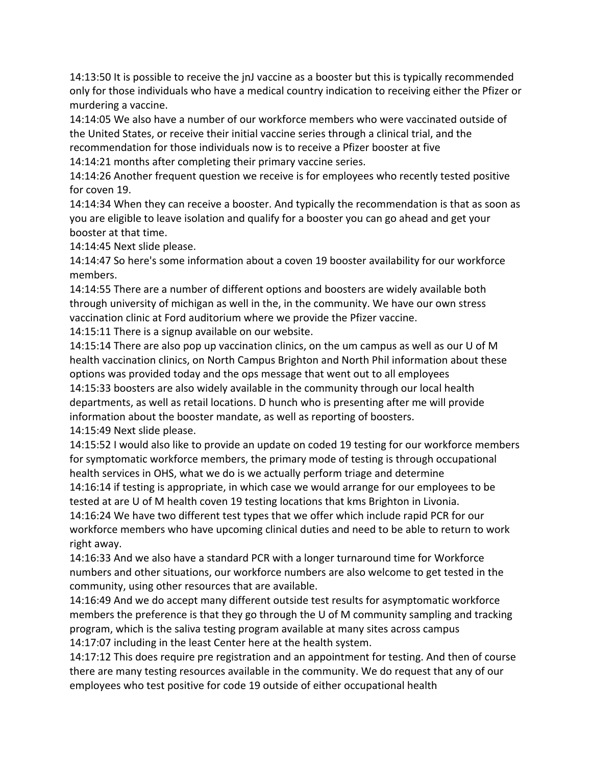14:13:50 It is possible to receive the jnJ vaccine as a booster but this is typically recommended only for those individuals who have a medical country indication to receiving either the Pfizer or murdering a vaccine.

14:14:05 We also have a number of our workforce members who were vaccinated outside of the United States, or receive their initial vaccine series through a clinical trial, and the recommendation for those individuals now is to receive a Pfizer booster at five 14:14:21 months after completing their primary vaccine series.

14:14:26 Another frequent question we receive is for employees who recently tested positive for coven 19.

14:14:34 When they can receive a booster. And typically the recommendation is that as soon as you are eligible to leave isolation and qualify for a booster you can go ahead and get your booster at that time.

14:14:45 Next slide please.

14:14:47 So here's some information about a coven 19 booster availability for our workforce members.

14:14:55 There are a number of different options and boosters are widely available both through university of michigan as well in the, in the community. We have our own stress vaccination clinic at Ford auditorium where we provide the Pfizer vaccine.

14:15:11 There is a signup available on our website.

14:15:14 There are also pop up vaccination clinics, on the um campus as well as our U of M health vaccination clinics, on North Campus Brighton and North Phil information about these options was provided today and the ops message that went out to all employees 14:15:33 boosters are also widely available in the community through our local health departments, as well as retail locations. D hunch who is presenting after me will provide information about the booster mandate, as well as reporting of boosters. 14:15:49 Next slide please.

14:15:52 I would also like to provide an update on coded 19 testing for our workforce members for symptomatic workforce members, the primary mode of testing is through occupational health services in OHS, what we do is we actually perform triage and determine

14:16:14 if testing is appropriate, in which case we would arrange for our employees to be tested at are U of M health coven 19 testing locations that kms Brighton in Livonia.

14:16:24 We have two different test types that we offer which include rapid PCR for our workforce members who have upcoming clinical duties and need to be able to return to work right away.

14:16:33 And we also have a standard PCR with a longer turnaround time for Workforce numbers and other situations, our workforce numbers are also welcome to get tested in the community, using other resources that are available.

14:16:49 And we do accept many different outside test results for asymptomatic workforce members the preference is that they go through the U of M community sampling and tracking program, which is the saliva testing program available at many sites across campus 14:17:07 including in the least Center here at the health system.

14:17:12 This does require pre registration and an appointment for testing. And then of course there are many testing resources available in the community. We do request that any of our employees who test positive for code 19 outside of either occupational health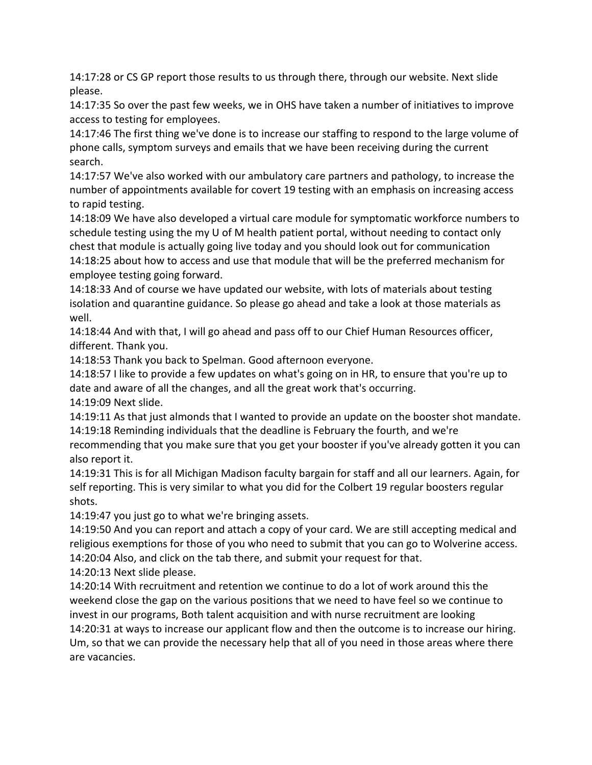14:17:28 or CS GP report those results to us through there, through our website. Next slide please.

14:17:35 So over the past few weeks, we in OHS have taken a number of initiatives to improve access to testing for employees.

14:17:46 The first thing we've done is to increase our staffing to respond to the large volume of phone calls, symptom surveys and emails that we have been receiving during the current search.

14:17:57 We've also worked with our ambulatory care partners and pathology, to increase the number of appointments available for covert 19 testing with an emphasis on increasing access to rapid testing.

14:18:09 We have also developed a virtual care module for symptomatic workforce numbers to schedule testing using the my U of M health patient portal, without needing to contact only chest that module is actually going live today and you should look out for communication 14:18:25 about how to access and use that module that will be the preferred mechanism for employee testing going forward.

14:18:33 And of course we have updated our website, with lots of materials about testing isolation and quarantine guidance. So please go ahead and take a look at those materials as well.

14:18:44 And with that, I will go ahead and pass off to our Chief Human Resources officer, different. Thank you.

14:18:53 Thank you back to Spelman. Good afternoon everyone.

14:18:57 I like to provide a few updates on what's going on in HR, to ensure that you're up to date and aware of all the changes, and all the great work that's occurring.

14:19:09 Next slide.

14:19:11 As that just almonds that I wanted to provide an update on the booster shot mandate. 14:19:18 Reminding individuals that the deadline is February the fourth, and we're

recommending that you make sure that you get your booster if you've already gotten it you can also report it.

14:19:31 This is for all Michigan Madison faculty bargain for staff and all our learners. Again, for self reporting. This is very similar to what you did for the Colbert 19 regular boosters regular shots.

14:19:47 you just go to what we're bringing assets.

14:19:50 And you can report and attach a copy of your card. We are still accepting medical and religious exemptions for those of you who need to submit that you can go to Wolverine access. 14:20:04 Also, and click on the tab there, and submit your request for that.

14:20:13 Next slide please.

14:20:14 With recruitment and retention we continue to do a lot of work around this the weekend close the gap on the various positions that we need to have feel so we continue to invest in our programs, Both talent acquisition and with nurse recruitment are looking 14:20:31 at ways to increase our applicant flow and then the outcome is to increase our hiring.

Um, so that we can provide the necessary help that all of you need in those areas where there are vacancies.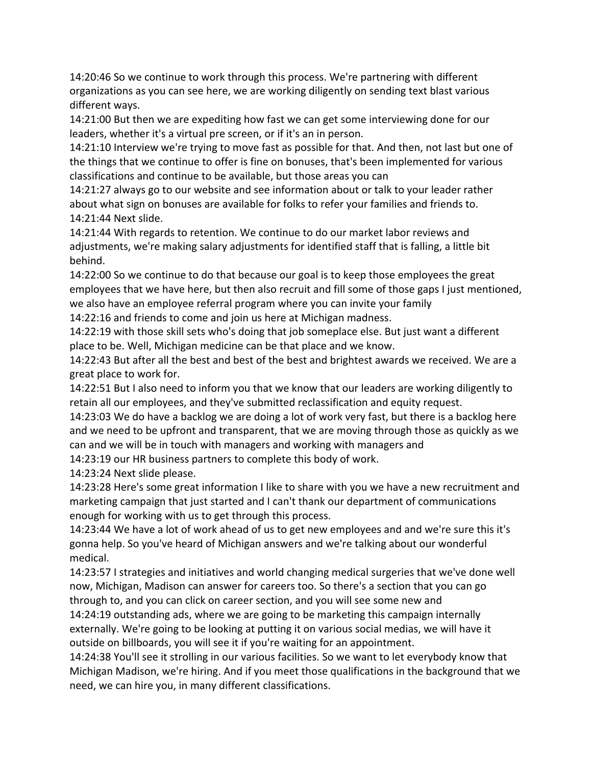14:20:46 So we continue to work through this process. We're partnering with different organizations as you can see here, we are working diligently on sending text blast various different ways.

14:21:00 But then we are expediting how fast we can get some interviewing done for our leaders, whether it's a virtual pre screen, or if it's an in person.

14:21:10 Interview we're trying to move fast as possible for that. And then, not last but one of the things that we continue to offer is fine on bonuses, that's been implemented for various classifications and continue to be available, but those areas you can

14:21:27 always go to our website and see information about or talk to your leader rather about what sign on bonuses are available for folks to refer your families and friends to. 14:21:44 Next slide.

14:21:44 With regards to retention. We continue to do our market labor reviews and adjustments, we're making salary adjustments for identified staff that is falling, a little bit behind.

14:22:00 So we continue to do that because our goal is to keep those employees the great employees that we have here, but then also recruit and fill some of those gaps I just mentioned, we also have an employee referral program where you can invite your family

14:22:16 and friends to come and join us here at Michigan madness.

14:22:19 with those skill sets who's doing that job someplace else. But just want a different place to be. Well, Michigan medicine can be that place and we know.

14:22:43 But after all the best and best of the best and brightest awards we received. We are a great place to work for.

14:22:51 But I also need to inform you that we know that our leaders are working diligently to retain all our employees, and they've submitted reclassification and equity request.

14:23:03 We do have a backlog we are doing a lot of work very fast, but there is a backlog here and we need to be upfront and transparent, that we are moving through those as quickly as we can and we will be in touch with managers and working with managers and

14:23:19 our HR business partners to complete this body of work.

14:23:24 Next slide please.

14:23:28 Here's some great information I like to share with you we have a new recruitment and marketing campaign that just started and I can't thank our department of communications enough for working with us to get through this process.

14:23:44 We have a lot of work ahead of us to get new employees and and we're sure this it's gonna help. So you've heard of Michigan answers and we're talking about our wonderful medical.

14:23:57 I strategies and initiatives and world changing medical surgeries that we've done well now, Michigan, Madison can answer for careers too. So there's a section that you can go through to, and you can click on career section, and you will see some new and

14:24:19 outstanding ads, where we are going to be marketing this campaign internally externally. We're going to be looking at putting it on various social medias, we will have it outside on billboards, you will see it if you're waiting for an appointment.

14:24:38 You'll see it strolling in our various facilities. So we want to let everybody know that Michigan Madison, we're hiring. And if you meet those qualifications in the background that we need, we can hire you, in many different classifications.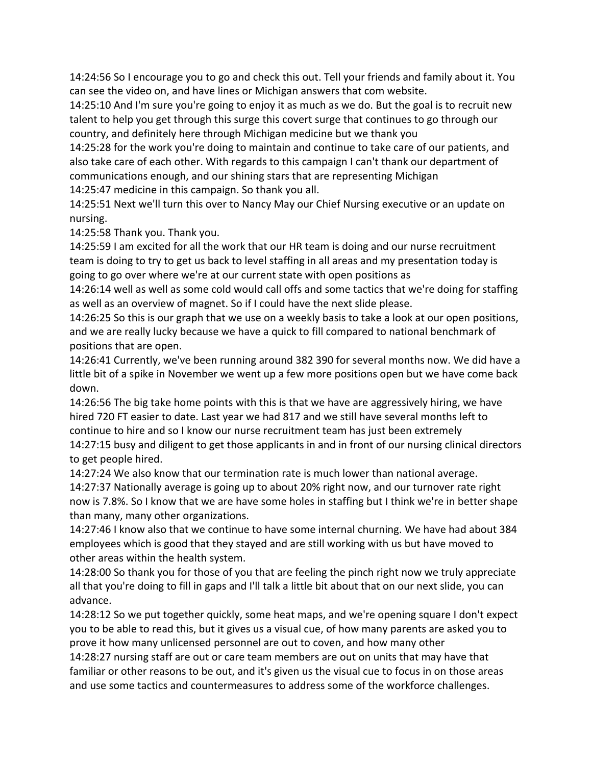14:24:56 So I encourage you to go and check this out. Tell your friends and family about it. You can see the video on, and have lines or Michigan answers that com website.

14:25:10 And I'm sure you're going to enjoy it as much as we do. But the goal is to recruit new talent to help you get through this surge this covert surge that continues to go through our country, and definitely here through Michigan medicine but we thank you

14:25:28 for the work you're doing to maintain and continue to take care of our patients, and also take care of each other. With regards to this campaign I can't thank our department of communications enough, and our shining stars that are representing Michigan 14:25:47 medicine in this campaign. So thank you all.

14:25:51 Next we'll turn this over to Nancy May our Chief Nursing executive or an update on nursing.

14:25:58 Thank you. Thank you.

14:25:59 I am excited for all the work that our HR team is doing and our nurse recruitment team is doing to try to get us back to level staffing in all areas and my presentation today is going to go over where we're at our current state with open positions as

14:26:14 well as well as some cold would call offs and some tactics that we're doing for staffing as well as an overview of magnet. So if I could have the next slide please.

14:26:25 So this is our graph that we use on a weekly basis to take a look at our open positions, and we are really lucky because we have a quick to fill compared to national benchmark of positions that are open.

14:26:41 Currently, we've been running around 382 390 for several months now. We did have a little bit of a spike in November we went up a few more positions open but we have come back down.

14:26:56 The big take home points with this is that we have are aggressively hiring, we have hired 720 FT easier to date. Last year we had 817 and we still have several months left to continue to hire and so I know our nurse recruitment team has just been extremely 14:27:15 busy and diligent to get those applicants in and in front of our nursing clinical directors to get people hired.

14:27:24 We also know that our termination rate is much lower than national average. 14:27:37 Nationally average is going up to about 20% right now, and our turnover rate right now is 7.8%. So I know that we are have some holes in staffing but I think we're in better shape than many, many other organizations.

14:27:46 I know also that we continue to have some internal churning. We have had about 384 employees which is good that they stayed and are still working with us but have moved to other areas within the health system.

14:28:00 So thank you for those of you that are feeling the pinch right now we truly appreciate all that you're doing to fill in gaps and I'll talk a little bit about that on our next slide, you can advance.

14:28:12 So we put together quickly, some heat maps, and we're opening square I don't expect you to be able to read this, but it gives us a visual cue, of how many parents are asked you to prove it how many unlicensed personnel are out to coven, and how many other

14:28:27 nursing staff are out or care team members are out on units that may have that familiar or other reasons to be out, and it's given us the visual cue to focus in on those areas and use some tactics and countermeasures to address some of the workforce challenges.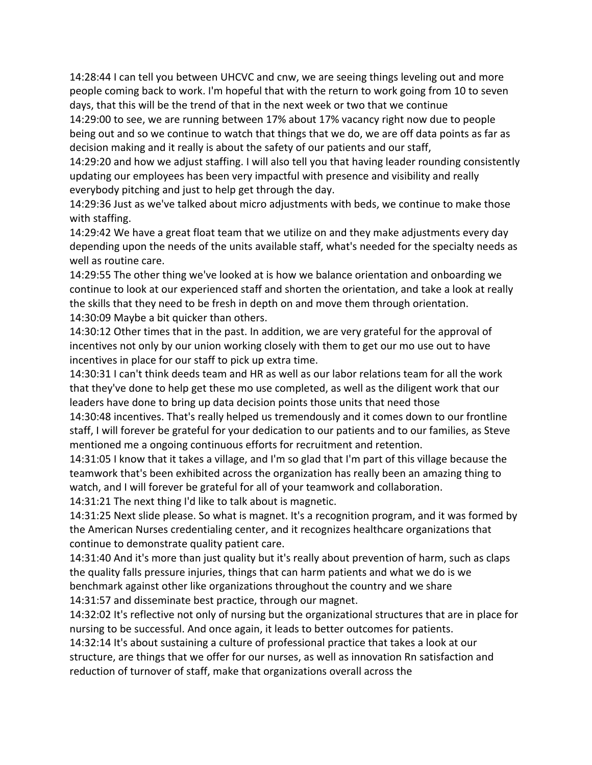14:28:44 I can tell you between UHCVC and cnw, we are seeing things leveling out and more people coming back to work. I'm hopeful that with the return to work going from 10 to seven days, that this will be the trend of that in the next week or two that we continue

14:29:00 to see, we are running between 17% about 17% vacancy right now due to people being out and so we continue to watch that things that we do, we are off data points as far as decision making and it really is about the safety of our patients and our staff,

14:29:20 and how we adjust staffing. I will also tell you that having leader rounding consistently updating our employees has been very impactful with presence and visibility and really everybody pitching and just to help get through the day.

14:29:36 Just as we've talked about micro adjustments with beds, we continue to make those with staffing.

14:29:42 We have a great float team that we utilize on and they make adjustments every day depending upon the needs of the units available staff, what's needed for the specialty needs as well as routine care.

14:29:55 The other thing we've looked at is how we balance orientation and onboarding we continue to look at our experienced staff and shorten the orientation, and take a look at really the skills that they need to be fresh in depth on and move them through orientation. 14:30:09 Maybe a bit quicker than others.

14:30:12 Other times that in the past. In addition, we are very grateful for the approval of incentives not only by our union working closely with them to get our mo use out to have incentives in place for our staff to pick up extra time.

14:30:31 I can't think deeds team and HR as well as our labor relations team for all the work that they've done to help get these mo use completed, as well as the diligent work that our leaders have done to bring up data decision points those units that need those

14:30:48 incentives. That's really helped us tremendously and it comes down to our frontline staff, I will forever be grateful for your dedication to our patients and to our families, as Steve mentioned me a ongoing continuous efforts for recruitment and retention.

14:31:05 I know that it takes a village, and I'm so glad that I'm part of this village because the teamwork that's been exhibited across the organization has really been an amazing thing to watch, and I will forever be grateful for all of your teamwork and collaboration.

14:31:21 The next thing I'd like to talk about is magnetic.

14:31:25 Next slide please. So what is magnet. It's a recognition program, and it was formed by the American Nurses credentialing center, and it recognizes healthcare organizations that continue to demonstrate quality patient care.

14:31:40 And it's more than just quality but it's really about prevention of harm, such as claps the quality falls pressure injuries, things that can harm patients and what we do is we benchmark against other like organizations throughout the country and we share

14:31:57 and disseminate best practice, through our magnet.

14:32:02 It's reflective not only of nursing but the organizational structures that are in place for nursing to be successful. And once again, it leads to better outcomes for patients.

14:32:14 It's about sustaining a culture of professional practice that takes a look at our structure, are things that we offer for our nurses, as well as innovation Rn satisfaction and reduction of turnover of staff, make that organizations overall across the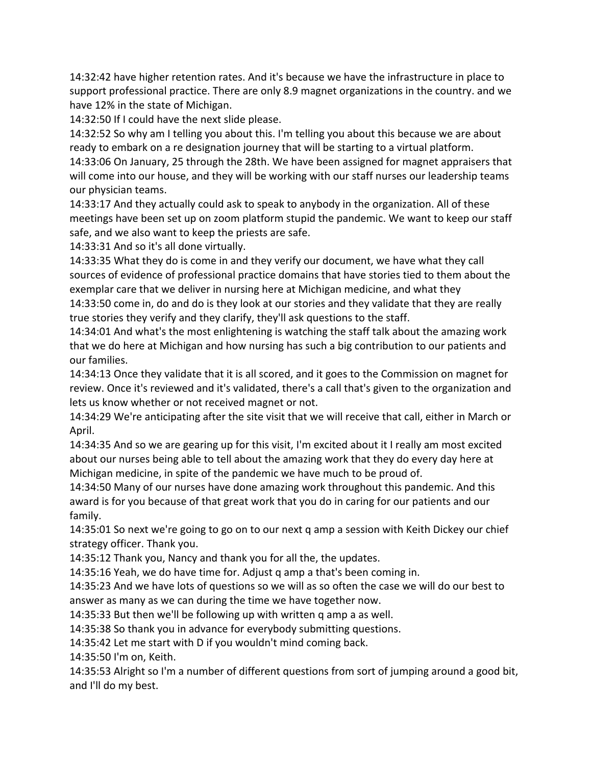14:32:42 have higher retention rates. And it's because we have the infrastructure in place to support professional practice. There are only 8.9 magnet organizations in the country. and we have 12% in the state of Michigan.

14:32:50 If I could have the next slide please.

14:32:52 So why am I telling you about this. I'm telling you about this because we are about ready to embark on a re designation journey that will be starting to a virtual platform. 14:33:06 On January, 25 through the 28th. We have been assigned for magnet appraisers that will come into our house, and they will be working with our staff nurses our leadership teams our physician teams.

14:33:17 And they actually could ask to speak to anybody in the organization. All of these meetings have been set up on zoom platform stupid the pandemic. We want to keep our staff safe, and we also want to keep the priests are safe.

14:33:31 And so it's all done virtually.

14:33:35 What they do is come in and they verify our document, we have what they call sources of evidence of professional practice domains that have stories tied to them about the exemplar care that we deliver in nursing here at Michigan medicine, and what they 14:33:50 come in, do and do is they look at our stories and they validate that they are really true stories they verify and they clarify, they'll ask questions to the staff.

14:34:01 And what's the most enlightening is watching the staff talk about the amazing work that we do here at Michigan and how nursing has such a big contribution to our patients and our families.

14:34:13 Once they validate that it is all scored, and it goes to the Commission on magnet for review. Once it's reviewed and it's validated, there's a call that's given to the organization and lets us know whether or not received magnet or not.

14:34:29 We're anticipating after the site visit that we will receive that call, either in March or April.

14:34:35 And so we are gearing up for this visit, I'm excited about it I really am most excited about our nurses being able to tell about the amazing work that they do every day here at Michigan medicine, in spite of the pandemic we have much to be proud of.

14:34:50 Many of our nurses have done amazing work throughout this pandemic. And this award is for you because of that great work that you do in caring for our patients and our family.

14:35:01 So next we're going to go on to our next q amp a session with Keith Dickey our chief strategy officer. Thank you.

14:35:12 Thank you, Nancy and thank you for all the, the updates.

14:35:16 Yeah, we do have time for. Adjust q amp a that's been coming in.

14:35:23 And we have lots of questions so we will as so often the case we will do our best to answer as many as we can during the time we have together now.

14:35:33 But then we'll be following up with written q amp a as well.

14:35:38 So thank you in advance for everybody submitting questions.

14:35:42 Let me start with D if you wouldn't mind coming back.

14:35:50 I'm on, Keith.

14:35:53 Alright so I'm a number of different questions from sort of jumping around a good bit, and I'll do my best.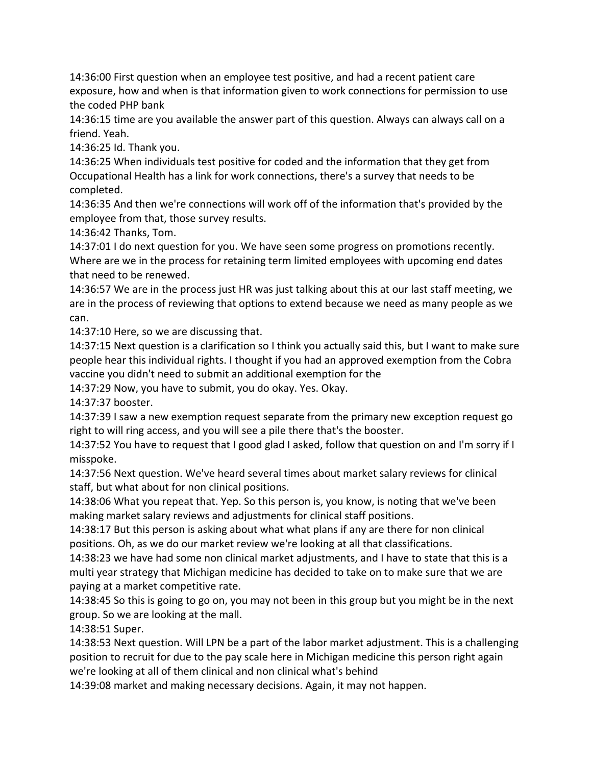14:36:00 First question when an employee test positive, and had a recent patient care exposure, how and when is that information given to work connections for permission to use the coded PHP bank

14:36:15 time are you available the answer part of this question. Always can always call on a friend. Yeah.

14:36:25 Id. Thank you.

14:36:25 When individuals test positive for coded and the information that they get from Occupational Health has a link for work connections, there's a survey that needs to be completed.

14:36:35 And then we're connections will work off of the information that's provided by the employee from that, those survey results.

14:36:42 Thanks, Tom.

14:37:01 I do next question for you. We have seen some progress on promotions recently. Where are we in the process for retaining term limited employees with upcoming end dates that need to be renewed.

14:36:57 We are in the process just HR was just talking about this at our last staff meeting, we are in the process of reviewing that options to extend because we need as many people as we can.

14:37:10 Here, so we are discussing that.

14:37:15 Next question is a clarification so I think you actually said this, but I want to make sure people hear this individual rights. I thought if you had an approved exemption from the Cobra vaccine you didn't need to submit an additional exemption for the

14:37:29 Now, you have to submit, you do okay. Yes. Okay.

14:37:37 booster.

14:37:39 I saw a new exemption request separate from the primary new exception request go right to will ring access, and you will see a pile there that's the booster.

14:37:52 You have to request that I good glad I asked, follow that question on and I'm sorry if I misspoke.

14:37:56 Next question. We've heard several times about market salary reviews for clinical staff, but what about for non clinical positions.

14:38:06 What you repeat that. Yep. So this person is, you know, is noting that we've been making market salary reviews and adjustments for clinical staff positions.

14:38:17 But this person is asking about what what plans if any are there for non clinical positions. Oh, as we do our market review we're looking at all that classifications.

14:38:23 we have had some non clinical market adjustments, and I have to state that this is a multi year strategy that Michigan medicine has decided to take on to make sure that we are paying at a market competitive rate.

14:38:45 So this is going to go on, you may not been in this group but you might be in the next group. So we are looking at the mall.

14:38:51 Super.

14:38:53 Next question. Will LPN be a part of the labor market adjustment. This is a challenging position to recruit for due to the pay scale here in Michigan medicine this person right again we're looking at all of them clinical and non clinical what's behind

14:39:08 market and making necessary decisions. Again, it may not happen.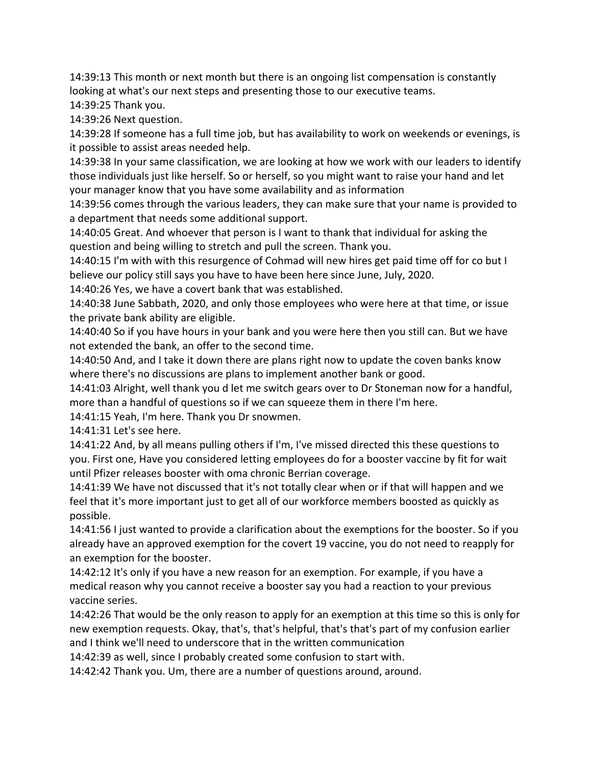14:39:13 This month or next month but there is an ongoing list compensation is constantly looking at what's our next steps and presenting those to our executive teams.

14:39:25 Thank you.

14:39:26 Next question.

14:39:28 If someone has a full time job, but has availability to work on weekends or evenings, is it possible to assist areas needed help.

14:39:38 In your same classification, we are looking at how we work with our leaders to identify those individuals just like herself. So or herself, so you might want to raise your hand and let your manager know that you have some availability and as information

14:39:56 comes through the various leaders, they can make sure that your name is provided to a department that needs some additional support.

14:40:05 Great. And whoever that person is I want to thank that individual for asking the question and being willing to stretch and pull the screen. Thank you.

14:40:15 I'm with with this resurgence of Cohmad will new hires get paid time off for co but I believe our policy still says you have to have been here since June, July, 2020.

14:40:26 Yes, we have a covert bank that was established.

14:40:38 June Sabbath, 2020, and only those employees who were here at that time, or issue the private bank ability are eligible.

14:40:40 So if you have hours in your bank and you were here then you still can. But we have not extended the bank, an offer to the second time.

14:40:50 And, and I take it down there are plans right now to update the coven banks know where there's no discussions are plans to implement another bank or good.

14:41:03 Alright, well thank you d let me switch gears over to Dr Stoneman now for a handful, more than a handful of questions so if we can squeeze them in there I'm here.

14:41:15 Yeah, I'm here. Thank you Dr snowmen.

14:41:31 Let's see here.

14:41:22 And, by all means pulling others if I'm, I've missed directed this these questions to you. First one, Have you considered letting employees do for a booster vaccine by fit for wait until Pfizer releases booster with oma chronic Berrian coverage.

14:41:39 We have not discussed that it's not totally clear when or if that will happen and we feel that it's more important just to get all of our workforce members boosted as quickly as possible.

14:41:56 I just wanted to provide a clarification about the exemptions for the booster. So if you already have an approved exemption for the covert 19 vaccine, you do not need to reapply for an exemption for the booster.

14:42:12 It's only if you have a new reason for an exemption. For example, if you have a medical reason why you cannot receive a booster say you had a reaction to your previous vaccine series.

14:42:26 That would be the only reason to apply for an exemption at this time so this is only for new exemption requests. Okay, that's, that's helpful, that's that's part of my confusion earlier and I think we'll need to underscore that in the written communication

14:42:39 as well, since I probably created some confusion to start with.

14:42:42 Thank you. Um, there are a number of questions around, around.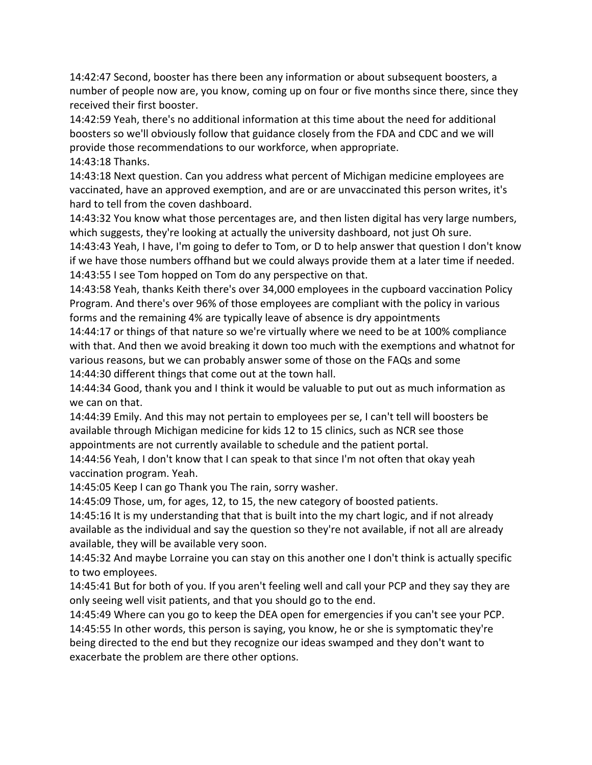14:42:47 Second, booster has there been any information or about subsequent boosters, a number of people now are, you know, coming up on four or five months since there, since they received their first booster.

14:42:59 Yeah, there's no additional information at this time about the need for additional boosters so we'll obviously follow that guidance closely from the FDA and CDC and we will provide those recommendations to our workforce, when appropriate. 14:43:18 Thanks.

14:43:18 Next question. Can you address what percent of Michigan medicine employees are vaccinated, have an approved exemption, and are or are unvaccinated this person writes, it's hard to tell from the coven dashboard.

14:43:32 You know what those percentages are, and then listen digital has very large numbers, which suggests, they're looking at actually the university dashboard, not just Oh sure.

14:43:43 Yeah, I have, I'm going to defer to Tom, or D to help answer that question I don't know if we have those numbers offhand but we could always provide them at a later time if needed. 14:43:55 I see Tom hopped on Tom do any perspective on that.

14:43:58 Yeah, thanks Keith there's over 34,000 employees in the cupboard vaccination Policy Program. And there's over 96% of those employees are compliant with the policy in various forms and the remaining 4% are typically leave of absence is dry appointments

14:44:17 or things of that nature so we're virtually where we need to be at 100% compliance with that. And then we avoid breaking it down too much with the exemptions and whatnot for various reasons, but we can probably answer some of those on the FAQs and some 14:44:30 different things that come out at the town hall.

14:44:34 Good, thank you and I think it would be valuable to put out as much information as we can on that.

14:44:39 Emily. And this may not pertain to employees per se, I can't tell will boosters be available through Michigan medicine for kids 12 to 15 clinics, such as NCR see those appointments are not currently available to schedule and the patient portal.

14:44:56 Yeah, I don't know that I can speak to that since I'm not often that okay yeah vaccination program. Yeah.

14:45:05 Keep I can go Thank you The rain, sorry washer.

14:45:09 Those, um, for ages, 12, to 15, the new category of boosted patients.

14:45:16 It is my understanding that that is built into the my chart logic, and if not already available as the individual and say the question so they're not available, if not all are already available, they will be available very soon.

14:45:32 And maybe Lorraine you can stay on this another one I don't think is actually specific to two employees.

14:45:41 But for both of you. If you aren't feeling well and call your PCP and they say they are only seeing well visit patients, and that you should go to the end.

14:45:49 Where can you go to keep the DEA open for emergencies if you can't see your PCP. 14:45:55 In other words, this person is saying, you know, he or she is symptomatic they're being directed to the end but they recognize our ideas swamped and they don't want to exacerbate the problem are there other options.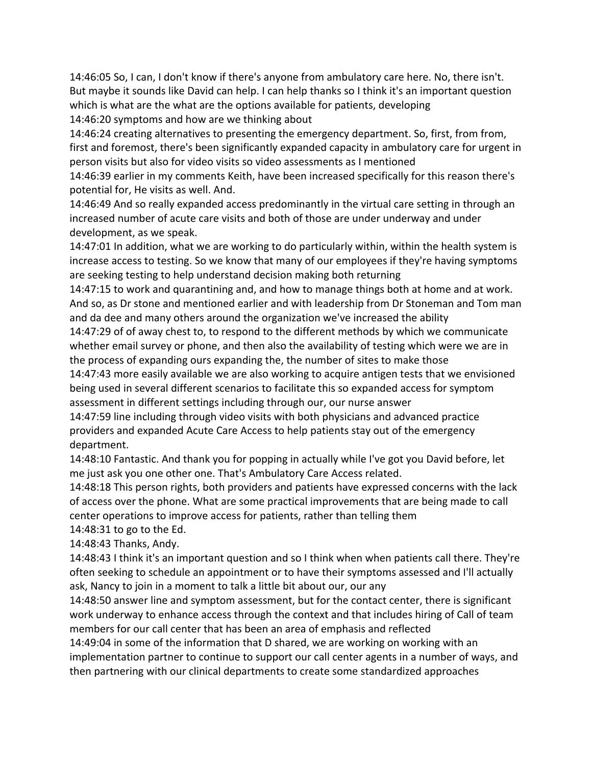14:46:05 So, I can, I don't know if there's anyone from ambulatory care here. No, there isn't. But maybe it sounds like David can help. I can help thanks so I think it's an important question which is what are the what are the options available for patients, developing

14:46:20 symptoms and how are we thinking about

14:46:24 creating alternatives to presenting the emergency department. So, first, from from, first and foremost, there's been significantly expanded capacity in ambulatory care for urgent in person visits but also for video visits so video assessments as I mentioned

14:46:39 earlier in my comments Keith, have been increased specifically for this reason there's potential for, He visits as well. And.

14:46:49 And so really expanded access predominantly in the virtual care setting in through an increased number of acute care visits and both of those are under underway and under development, as we speak.

14:47:01 In addition, what we are working to do particularly within, within the health system is increase access to testing. So we know that many of our employees if they're having symptoms are seeking testing to help understand decision making both returning

14:47:15 to work and quarantining and, and how to manage things both at home and at work. And so, as Dr stone and mentioned earlier and with leadership from Dr Stoneman and Tom man and da dee and many others around the organization we've increased the ability

14:47:29 of of away chest to, to respond to the different methods by which we communicate whether email survey or phone, and then also the availability of testing which were we are in the process of expanding ours expanding the, the number of sites to make those

14:47:43 more easily available we are also working to acquire antigen tests that we envisioned being used in several different scenarios to facilitate this so expanded access for symptom assessment in different settings including through our, our nurse answer

14:47:59 line including through video visits with both physicians and advanced practice providers and expanded Acute Care Access to help patients stay out of the emergency department.

14:48:10 Fantastic. And thank you for popping in actually while I've got you David before, let me just ask you one other one. That's Ambulatory Care Access related.

14:48:18 This person rights, both providers and patients have expressed concerns with the lack of access over the phone. What are some practical improvements that are being made to call center operations to improve access for patients, rather than telling them 14:48:31 to go to the Ed.

14:48:43 Thanks, Andy.

14:48:43 I think it's an important question and so I think when when patients call there. They're often seeking to schedule an appointment or to have their symptoms assessed and I'll actually ask, Nancy to join in a moment to talk a little bit about our, our any

14:48:50 answer line and symptom assessment, but for the contact center, there is significant work underway to enhance access through the context and that includes hiring of Call of team members for our call center that has been an area of emphasis and reflected

14:49:04 in some of the information that D shared, we are working on working with an implementation partner to continue to support our call center agents in a number of ways, and then partnering with our clinical departments to create some standardized approaches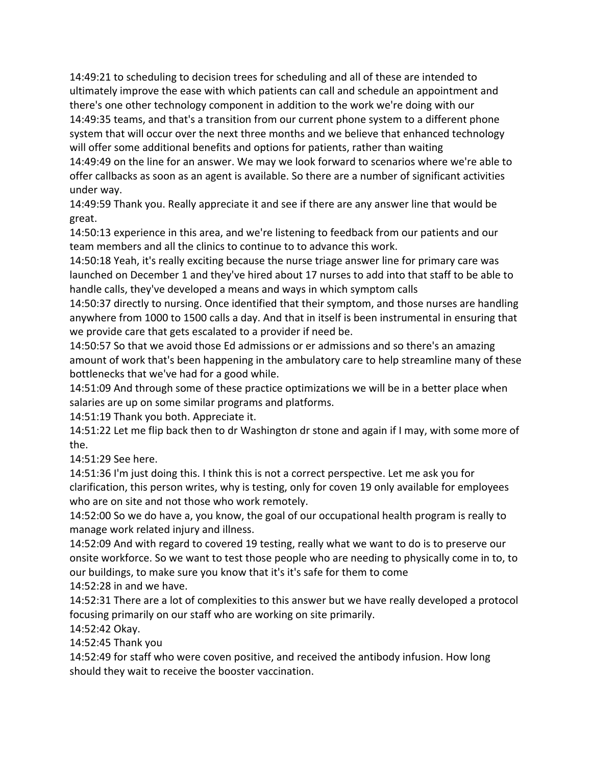14:49:21 to scheduling to decision trees for scheduling and all of these are intended to ultimately improve the ease with which patients can call and schedule an appointment and there's one other technology component in addition to the work we're doing with our 14:49:35 teams, and that's a transition from our current phone system to a different phone system that will occur over the next three months and we believe that enhanced technology will offer some additional benefits and options for patients, rather than waiting 14:49:49 on the line for an answer. We may we look forward to scenarios where we're able to offer callbacks as soon as an agent is available. So there are a number of significant activities

under way. 14:49:59 Thank you. Really appreciate it and see if there are any answer line that would be

great. 14:50:13 experience in this area, and we're listening to feedback from our patients and our team members and all the clinics to continue to to advance this work.

14:50:18 Yeah, it's really exciting because the nurse triage answer line for primary care was launched on December 1 and they've hired about 17 nurses to add into that staff to be able to handle calls, they've developed a means and ways in which symptom calls

14:50:37 directly to nursing. Once identified that their symptom, and those nurses are handling anywhere from 1000 to 1500 calls a day. And that in itself is been instrumental in ensuring that we provide care that gets escalated to a provider if need be.

14:50:57 So that we avoid those Ed admissions or er admissions and so there's an amazing amount of work that's been happening in the ambulatory care to help streamline many of these bottlenecks that we've had for a good while.

14:51:09 And through some of these practice optimizations we will be in a better place when salaries are up on some similar programs and platforms.

14:51:19 Thank you both. Appreciate it.

14:51:22 Let me flip back then to dr Washington dr stone and again if I may, with some more of the.

14:51:29 See here.

14:51:36 I'm just doing this. I think this is not a correct perspective. Let me ask you for clarification, this person writes, why is testing, only for coven 19 only available for employees who are on site and not those who work remotely.

14:52:00 So we do have a, you know, the goal of our occupational health program is really to manage work related injury and illness.

14:52:09 And with regard to covered 19 testing, really what we want to do is to preserve our onsite workforce. So we want to test those people who are needing to physically come in to, to our buildings, to make sure you know that it's it's safe for them to come 14:52:28 in and we have.

14:52:31 There are a lot of complexities to this answer but we have really developed a protocol focusing primarily on our staff who are working on site primarily.

14:52:42 Okay.

14:52:45 Thank you

14:52:49 for staff who were coven positive, and received the antibody infusion. How long should they wait to receive the booster vaccination.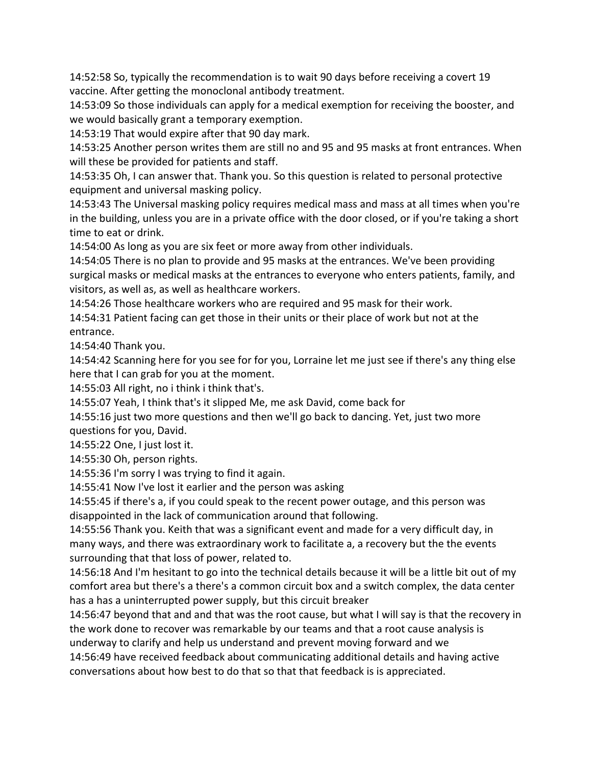14:52:58 So, typically the recommendation is to wait 90 days before receiving a covert 19 vaccine. After getting the monoclonal antibody treatment.

14:53:09 So those individuals can apply for a medical exemption for receiving the booster, and we would basically grant a temporary exemption.

14:53:19 That would expire after that 90 day mark.

14:53:25 Another person writes them are still no and 95 and 95 masks at front entrances. When will these be provided for patients and staff.

14:53:35 Oh, I can answer that. Thank you. So this question is related to personal protective equipment and universal masking policy.

14:53:43 The Universal masking policy requires medical mass and mass at all times when you're in the building, unless you are in a private office with the door closed, or if you're taking a short time to eat or drink.

14:54:00 As long as you are six feet or more away from other individuals.

14:54:05 There is no plan to provide and 95 masks at the entrances. We've been providing surgical masks or medical masks at the entrances to everyone who enters patients, family, and visitors, as well as, as well as healthcare workers.

14:54:26 Those healthcare workers who are required and 95 mask for their work.

14:54:31 Patient facing can get those in their units or their place of work but not at the entrance.

14:54:40 Thank you.

14:54:42 Scanning here for you see for for you, Lorraine let me just see if there's any thing else here that I can grab for you at the moment.

14:55:03 All right, no i think i think that's.

14:55:07 Yeah, I think that's it slipped Me, me ask David, come back for

14:55:16 just two more questions and then we'll go back to dancing. Yet, just two more questions for you, David.

14:55:22 One, I just lost it.

14:55:30 Oh, person rights.

14:55:36 I'm sorry I was trying to find it again.

14:55:41 Now I've lost it earlier and the person was asking

14:55:45 if there's a, if you could speak to the recent power outage, and this person was disappointed in the lack of communication around that following.

14:55:56 Thank you. Keith that was a significant event and made for a very difficult day, in many ways, and there was extraordinary work to facilitate a, a recovery but the the events surrounding that that loss of power, related to.

14:56:18 And I'm hesitant to go into the technical details because it will be a little bit out of my comfort area but there's a there's a common circuit box and a switch complex, the data center has a has a uninterrupted power supply, but this circuit breaker

14:56:47 beyond that and and that was the root cause, but what I will say is that the recovery in the work done to recover was remarkable by our teams and that a root cause analysis is underway to clarify and help us understand and prevent moving forward and we

14:56:49 have received feedback about communicating additional details and having active conversations about how best to do that so that that feedback is is appreciated.